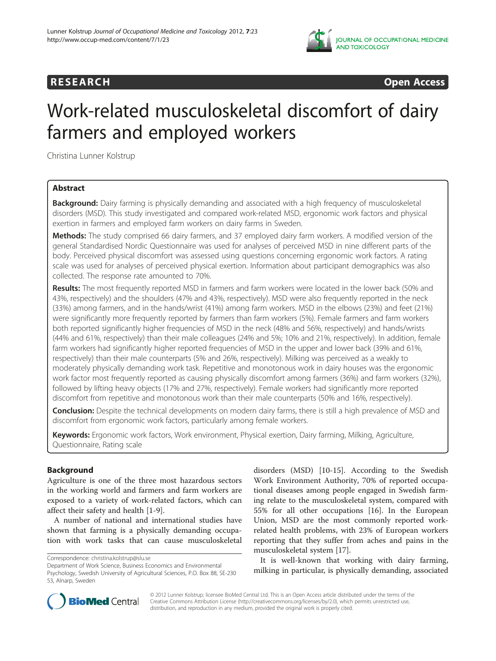

**RESEARCH CHINESEARCH CHINESEARCH CHINESE** 

# Work-related musculoskeletal discomfort of dairy farmers and employed workers

Christina Lunner Kolstrup

# Abstract

Background: Dairy farming is physically demanding and associated with a high frequency of musculoskeletal disorders (MSD). This study investigated and compared work-related MSD, ergonomic work factors and physical exertion in farmers and employed farm workers on dairy farms in Sweden.

Methods: The study comprised 66 dairy farmers, and 37 employed dairy farm workers. A modified version of the general Standardised Nordic Questionnaire was used for analyses of perceived MSD in nine different parts of the body. Perceived physical discomfort was assessed using questions concerning ergonomic work factors. A rating scale was used for analyses of perceived physical exertion. Information about participant demographics was also collected. The response rate amounted to 70%.

Results: The most frequently reported MSD in farmers and farm workers were located in the lower back (50% and 43%, respectively) and the shoulders (47% and 43%, respectively). MSD were also frequently reported in the neck (33%) among farmers, and in the hands/wrist (41%) among farm workers. MSD in the elbows (23%) and feet (21%) were significantly more frequently reported by farmers than farm workers (5%). Female farmers and farm workers both reported significantly higher frequencies of MSD in the neck (48% and 56%, respectively) and hands/wrists (44% and 61%, respectively) than their male colleagues (24% and 5%; 10% and 21%, respectively). In addition, female farm workers had significantly higher reported frequencies of MSD in the upper and lower back (39% and 61%, respectively) than their male counterparts (5% and 26%, respectively). Milking was perceived as a weakly to moderately physically demanding work task. Repetitive and monotonous work in dairy houses was the ergonomic work factor most frequently reported as causing physically discomfort among farmers (36%) and farm workers (32%), followed by lifting heavy objects (17% and 27%, respectively). Female workers had significantly more reported discomfort from repetitive and monotonous work than their male counterparts (50% and 16%, respectively).

Conclusion: Despite the technical developments on modern dairy farms, there is still a high prevalence of MSD and discomfort from ergonomic work factors, particularly among female workers.

Keywords: Ergonomic work factors, Work environment, Physical exertion, Dairy farming, Milking, Agriculture, Questionnaire, Rating scale

# Background

Agriculture is one of the three most hazardous sectors in the working world and farmers and farm workers are exposed to a variety of work-related factors, which can affect their safety and health [\[1-](#page-6-0)[9](#page-7-0)].

A number of national and international studies have shown that farming is a physically demanding occupation with work tasks that can cause musculoskeletal

disorders (MSD) [\[10](#page-7-0)-[15\]](#page-7-0). According to the Swedish Work Environment Authority, 70% of reported occupational diseases among people engaged in Swedish farming relate to the musculoskeletal system, compared with 55% for all other occupations [\[16](#page-7-0)]. In the European Union, MSD are the most commonly reported workrelated health problems, with 23% of European workers reporting that they suffer from aches and pains in the musculoskeletal system [\[17](#page-7-0)].

It is well-known that working with dairy farming, milking in particular, is physically demanding, associated



© 2012 Lunner Kolstrup; licensee BioMed Central Ltd. This is an Open Access article distributed under the terms of the Creative Commons Attribution License (<http://creativecommons.org/licenses/by/2.0>), which permits unrestricted use, distribution, and reproduction in any medium, provided the original work is properly cited.

Correspondence: christina.kolstrup@slu.se

Department of Work Science, Business Economics and Environmental Psychology, Swedish University of Agricultural Sciences, P.O. Box 88, SE-230 53, Alnarp, Sweden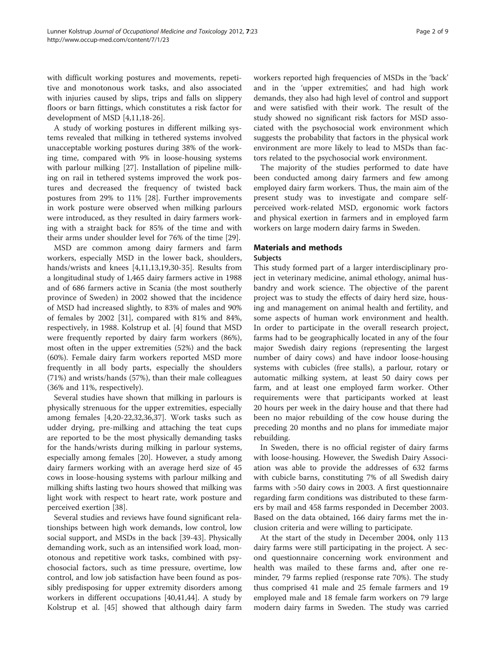with difficult working postures and movements, repetitive and monotonous work tasks, and also associated with injuries caused by slips, trips and falls on slippery floors or barn fittings, which constitutes a risk factor for development of MSD [[4,11](#page-7-0),[18](#page-7-0)-[26\]](#page-7-0).

A study of working postures in different milking systems revealed that milking in tethered systems involved unacceptable working postures during 38% of the working time, compared with 9% in loose-housing systems with parlour milking [\[27\]](#page-7-0). Installation of pipeline milking on rail in tethered systems improved the work postures and decreased the frequency of twisted back postures from 29% to 11% [\[28](#page-7-0)]. Further improvements in work posture were observed when milking parlours were introduced, as they resulted in dairy farmers working with a straight back for 85% of the time and with their arms under shoulder level for 76% of the time [[29\]](#page-7-0).

MSD are common among dairy farmers and farm workers, especially MSD in the lower back, shoulders, hands/wrists and knees [[4,11,13,19,30-35\]](#page-7-0). Results from a longitudinal study of 1,465 dairy farmers active in 1988 and of 686 farmers active in Scania (the most southerly province of Sweden) in 2002 showed that the incidence of MSD had increased slightly, to 83% of males and 90% of females by 2002 [[31\]](#page-7-0), compared with 81% and 84%, respectively, in 1988. Kolstrup et al. [\[4](#page-7-0)] found that MSD were frequently reported by dairy farm workers (86%), most often in the upper extremities (52%) and the back (60%). Female dairy farm workers reported MSD more frequently in all body parts, especially the shoulders (71%) and wrists/hands (57%), than their male colleagues (36% and 11%, respectively).

Several studies have shown that milking in parlours is physically strenuous for the upper extremities, especially among females [\[4,20](#page-7-0)-[22,32](#page-7-0),[36](#page-7-0),[37](#page-7-0)]. Work tasks such as udder drying, pre-milking and attaching the teat cups are reported to be the most physically demanding tasks for the hands/wrists during milking in parlour systems, especially among females [\[20](#page-7-0)]. However, a study among dairy farmers working with an average herd size of 45 cows in loose-housing systems with parlour milking and milking shifts lasting two hours showed that milking was light work with respect to heart rate, work posture and perceived exertion [\[38\]](#page-7-0).

Several studies and reviews have found significant relationships between high work demands, low control, low social support, and MSDs in the back [[39-43](#page-7-0)]. Physically demanding work, such as an intensified work load, monotonous and repetitive work tasks, combined with psychosocial factors, such as time pressure, overtime, low control, and low job satisfaction have been found as possibly predisposing for upper extremity disorders among workers in different occupations [\[40,41,44](#page-7-0)]. A study by Kolstrup et al. [\[45](#page-7-0)] showed that although dairy farm workers reported high frequencies of MSDs in the 'back' and in the 'upper extremities', and had high work demands, they also had high level of control and support and were satisfied with their work. The result of the study showed no significant risk factors for MSD associated with the psychosocial work environment which suggests the probability that factors in the physical work environment are more likely to lead to MSDs than factors related to the psychosocial work environment.

The majority of the studies performed to date have been conducted among dairy farmers and few among employed dairy farm workers. Thus, the main aim of the present study was to investigate and compare selfperceived work-related MSD, ergonomic work factors and physical exertion in farmers and in employed farm workers on large modern dairy farms in Sweden.

# Materials and methods

# Subjects

This study formed part of a larger interdisciplinary project in veterinary medicine, animal ethology, animal husbandry and work science. The objective of the parent project was to study the effects of dairy herd size, housing and management on animal health and fertility, and some aspects of human work environment and health. In order to participate in the overall research project, farms had to be geographically located in any of the four major Swedish dairy regions (representing the largest number of dairy cows) and have indoor loose-housing systems with cubicles (free stalls), a parlour, rotary or automatic milking system, at least 50 dairy cows per farm, and at least one employed farm worker. Other requirements were that participants worked at least 20 hours per week in the dairy house and that there had been no major rebuilding of the cow house during the preceding 20 months and no plans for immediate major rebuilding.

In Sweden, there is no official register of dairy farms with loose-housing. However, the Swedish Dairy Association was able to provide the addresses of 632 farms with cubicle barns, constituting 7% of all Swedish dairy farms with >50 dairy cows in 2003. A first questionnaire regarding farm conditions was distributed to these farmers by mail and 458 farms responded in December 2003. Based on the data obtained, 166 dairy farms met the inclusion criteria and were willing to participate.

At the start of the study in December 2004, only 113 dairy farms were still participating in the project. A second questionnaire concerning work environment and health was mailed to these farms and, after one reminder, 79 farms replied (response rate 70%). The study thus comprised 41 male and 25 female farmers and 19 employed male and 18 female farm workers on 79 large modern dairy farms in Sweden. The study was carried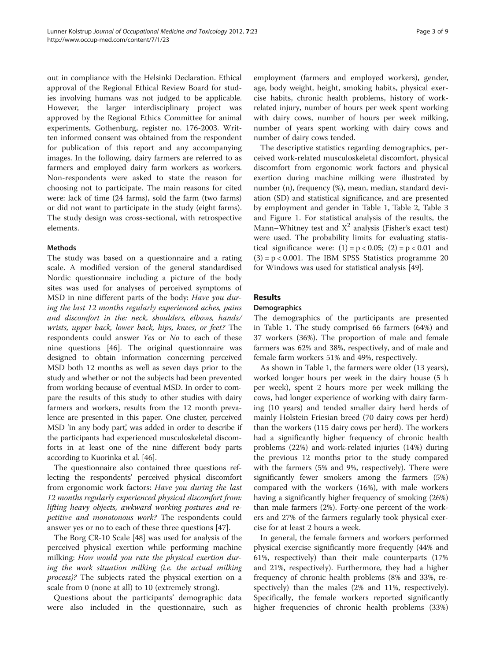out in compliance with the Helsinki Declaration. Ethical approval of the Regional Ethical Review Board for studies involving humans was not judged to be applicable. However, the larger interdisciplinary project was approved by the Regional Ethics Committee for animal experiments, Gothenburg, register no. 176-2003. Written informed consent was obtained from the respondent for publication of this report and any accompanying images. In the following, dairy farmers are referred to as farmers and employed dairy farm workers as workers. Non-respondents were asked to state the reason for choosing not to participate. The main reasons for cited were: lack of time (24 farms), sold the farm (two farms) or did not want to participate in the study (eight farms). The study design was cross-sectional, with retrospective elements.

# Methods

The study was based on a questionnaire and a rating scale. A modified version of the general standardised Nordic questionnaire including a picture of the body sites was used for analyses of perceived symptoms of MSD in nine different parts of the body: Have you during the last 12 months regularly experienced aches, pains and discomfort in the: neck, shoulders, elbows, hands/ wrists, upper back, lower back, hips, knees, or feet? The respondents could answer Yes or No to each of these nine questions [\[46](#page-7-0)]. The original questionnaire was designed to obtain information concerning perceived MSD both 12 months as well as seven days prior to the study and whether or not the subjects had been prevented from working because of eventual MSD. In order to compare the results of this study to other studies with dairy farmers and workers, results from the 12 month prevalence are presented in this paper. One cluster, perceived MSD 'in any body part', was added in order to describe if the participants had experienced musculoskeletal discomforts in at least one of the nine different body parts according to Kuorinka et al. [\[46](#page-7-0)].

The questionnaire also contained three questions reflecting the respondents' perceived physical discomfort from ergonomic work factors: Have you during the last 12 months regularly experienced physical discomfort from: lifting heavy objects, awkward working postures and repetitive and monotonous work? The respondents could answer yes or no to each of these three questions [[47\]](#page-7-0).

The Borg CR-10 Scale [\[48\]](#page-7-0) was used for analysis of the perceived physical exertion while performing machine milking: How would you rate the physical exertion during the work situation milking (i.e. the actual milking process)? The subjects rated the physical exertion on a scale from 0 (none at all) to 10 (extremely strong).

Questions about the participants' demographic data were also included in the questionnaire, such as employment (farmers and employed workers), gender, age, body weight, height, smoking habits, physical exercise habits, chronic health problems, history of workrelated injury, number of hours per week spent working with dairy cows, number of hours per week milking, number of years spent working with dairy cows and number of dairy cows tended.

The descriptive statistics regarding demographics, perceived work-related musculoskeletal discomfort, physical discomfort from ergonomic work factors and physical exertion during machine milking were illustrated by number (n), frequency (%), mean, median, standard deviation (SD) and statistical significance, and are presented by employment and gender in Table [1,](#page-3-0) Table [2](#page-3-0), Table [3](#page-4-0) and Figure [1](#page-4-0). For statistical analysis of the results, the Mann–Whitney test and  $X^2$  analysis (Fisher's exact test) were used. The probability limits for evaluating statistical significance were:  $(1) = p < 0.05$ ;  $(2) = p < 0.01$  and  $(3) = p < 0.001$ . The IBM SPSS Statistics programme 20 for Windows was used for statistical analysis [[49\]](#page-7-0).

# Results

# **Demographics**

The demographics of the participants are presented in Table [1](#page-3-0). The study comprised 66 farmers (64%) and 37 workers (36%). The proportion of male and female farmers was 62% and 38%, respectively, and of male and female farm workers 51% and 49%, respectively.

As shown in Table [1](#page-3-0), the farmers were older (13 years), worked longer hours per week in the dairy house (5 h per week), spent 2 hours more per week milking the cows, had longer experience of working with dairy farming (10 years) and tended smaller dairy herd herds of mainly Holstein Friesian breed (70 dairy cows per herd) than the workers (115 dairy cows per herd). The workers had a significantly higher frequency of chronic health problems (22%) and work-related injuries (14%) during the previous 12 months prior to the study compared with the farmers (5% and 9%, respectively). There were significantly fewer smokers among the farmers (5%) compared with the workers (16%), with male workers having a significantly higher frequency of smoking (26%) than male farmers (2%). Forty-one percent of the workers and 27% of the farmers regularly took physical exercise for at least 2 hours a week.

In general, the female farmers and workers performed physical exercise significantly more frequently (44% and 61%, respectively) than their male counterparts (17% and 21%, respectively). Furthermore, they had a higher frequency of chronic health problems (8% and 33%, respectively) than the males (2% and 11%, respectively). Specifically, the female workers reported significantly higher frequencies of chronic health problems (33%)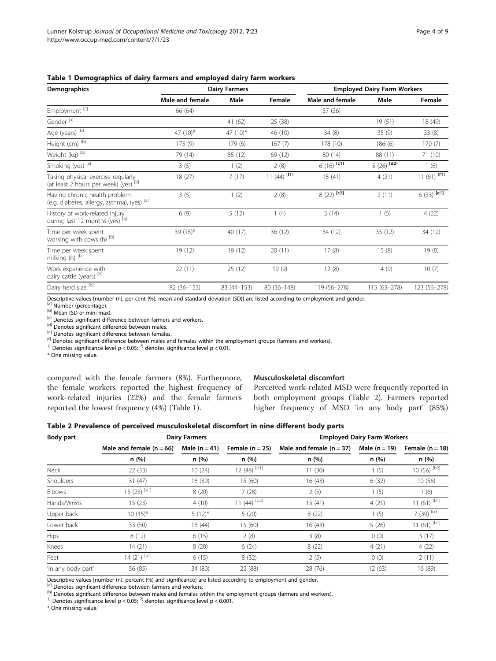| <b>Demographics</b>                                                                     |                 | <b>Dairy Farmers</b> |                | <b>Employed Dairy Farm Workers</b> |                 |                |
|-----------------------------------------------------------------------------------------|-----------------|----------------------|----------------|------------------------------------|-----------------|----------------|
|                                                                                         | Male and female | Male                 | Female         | Male and female                    | Male            | Female         |
| Employment [a]                                                                          | 66 (64)         |                      |                | 37 (36)                            |                 |                |
| Gender <sup>[a]</sup>                                                                   |                 | 41 (62)              | 25 (38)        |                                    | 19(51)          | 18 (49)        |
| Age (years) [b]                                                                         | 47 (10)*        | 47 $(10)^*$          | 46 (10)        | 34(8)                              | 35(9)           | 33(8)          |
| Height (cm) [b]                                                                         | 175(9)          | 179(6)               | 167(7)         | 178 (10)                           | 186(6)          | 170(7)         |
| Weight (kg) [b]                                                                         | 79 (14)         | 85 (12)              | 69 (12)        | 80 (14)                            | 88 (11)         | 71 (10)        |
| Smoking (yes) [a]                                                                       | 3(5)            | 1(2)                 | 2(8)           | $6(16)$ [c1]                       | [d2]<br>5(26)   | 1(6)           |
| Taking physical exercise regularly<br>(at least 2 hours per week) (yes) lal             | 18(27)          | 7(17)                | 11 (44) $[f1]$ | 15(41)                             | 4(21)           | 11 (61) $[f1]$ |
| Having chronic health problem<br>(e.g. diabetes, allergy, asthma), (yes) <sup>[a]</sup> | 3(5)            | 1(2)                 | 2(8)           | $8(22)$ [c2]                       | 2(11)           | $6(33)$ [e1]   |
| History of work-related injury<br>during last 12 months (yes) [a]                       | 6(9)            | 5(12)                | 1(4)           | 5(14)                              | 1(5)            | 4(22)          |
| Time per week spent<br>working with cows (h) [b]                                        | 39 (15)*        | 40 (17)              | 36(12)         | 34 (12)                            | 35(12)          | 34 (12)        |
| Time per week spent<br>milking (h) [b]                                                  | 19 (12)         | 19 (12)              | 20(11)         | 17(8)                              | 15(8)           | 19(8)          |
| Work experience with<br>dairy cattle (years) [b]                                        | 22(11)          | 25(12)               | 19(9)          | 12(8)                              | 14(9)           | 10(7)          |
| Dairy herd size <sup>[b]</sup>                                                          | 82 (36-153)     | 83 (44-153)          | $80(36 - 148)$ | 119 (56-278)                       | $115(65 - 278)$ | 123 (56-278)   |

<span id="page-3-0"></span>

| Table 1 Demographics of dairy farmers and employed dairy farm workers |  |  |  |  |  |
|-----------------------------------------------------------------------|--|--|--|--|--|
|-----------------------------------------------------------------------|--|--|--|--|--|

Descriptive values [number (n), per cent (%), mean and standard deviation (SD)] are listed according to employment and gender.

<sup>[a]</sup> Number (percentage).<br>
<sup>[c]</sup> Denotes significant difference between farmers and workers.<br>
<sup>[c]</sup> Denotes significant difference between males.<br>
<sup>[c]</sup> Denotes significant difference between females.<br>
<sup>[c]</sup> Denotes sign

\* One missing value.

compared with the female farmers (8%). Furthermore, the female workers reported the highest frequency of work-related injuries (22%) and the female farmers reported the lowest frequency (4%) (Table 1).

#### Musculoskeletal discomfort

Perceived work-related MSD were frequently reported in both employment groups (Table 2). Farmers reported higher frequency of MSD 'in any body part' (85%)

|  | Table 2 Prevalence of perceived musculoskeletal discomfort in nine different body parts |  |  |  |
|--|-----------------------------------------------------------------------------------------|--|--|--|
|--|-----------------------------------------------------------------------------------------|--|--|--|

| Body part          |                                     | <b>Dairy Farmers</b>    |                            | <b>Employed Dairy Farm Workers</b>  |                          |                           |      |
|--------------------|-------------------------------------|-------------------------|----------------------------|-------------------------------------|--------------------------|---------------------------|------|
|                    | Male and female $(n = 66)$<br>n (%) | Male $(n = 41)$<br>n(%) | Female $(n = 25)$<br>n (%) | Male and female $(n = 37)$<br>n (%) | Male $(n = 19)$<br>n (%) | Female $(n = 18)$<br>n(%) |      |
|                    |                                     |                         |                            |                                     |                          |                           | Neck |
| Shoulders          | 31(47)                              | 16 (39)                 | 15 (60)                    | 16 (43)                             | 6(32)                    | 10(56)                    |      |
| Elbows             | $15(23)$ <sup>[a1]</sup>            | 8(20)                   | 7(28)                      | 2(5)                                | 1(5)                     | 1(6)                      |      |
| Hands/Wrists       | 15(23)                              | 4(10)                   | 11 (44) $^{[b2]}$          | 15(41)                              | 4(21)                    | $11(61)$ <sup>[b1]</sup>  |      |
| Upper back         | $10(15)*$                           | $5(12)^{*}$             | 5(20)                      | 8(22)                               | 1(5)                     | 7 (39) <sup>[b1]</sup>    |      |
| Lower back         | 33 (50)                             | 18 (44)                 | 15 (60)                    | 16(43)                              | 5(26)                    | $11(61)$ <sup>[b1]</sup>  |      |
| <b>Hips</b>        | 8(12)                               | 6(15)                   | 2(8)                       | 3(8)                                | 0(0)                     | 3(17)                     |      |
| Knees              | 14(21)                              | 8(20)                   | 6(24)                      | 8(22)                               | 4(21)                    | 4(22)                     |      |
| Feet               | $14(21)$ <sup>[a1]</sup>            | 6(15)                   | 8(32)                      | 2(5)                                | 0(0)                     | 2(11)                     |      |
| 'In any body part' | 56 (85)                             | 34 (80)                 | 22 (88)                    | 28 (76)                             | 12 (63)                  | 16 (89)                   |      |

Descriptive values [number (n), percent (%) and significance] are listed according to employment and gender.<br><sup>[a]</sup> Denotes significant difference between farmers and workers.

befinded significant difference between males and females within the employment groups (farmers and workers).<br><sup>(b)</sup> Denotes significance level  $p < 0.05$ ; <sup>2)</sup> denotes significance level  $p < 0.001$ .

\* One missing value.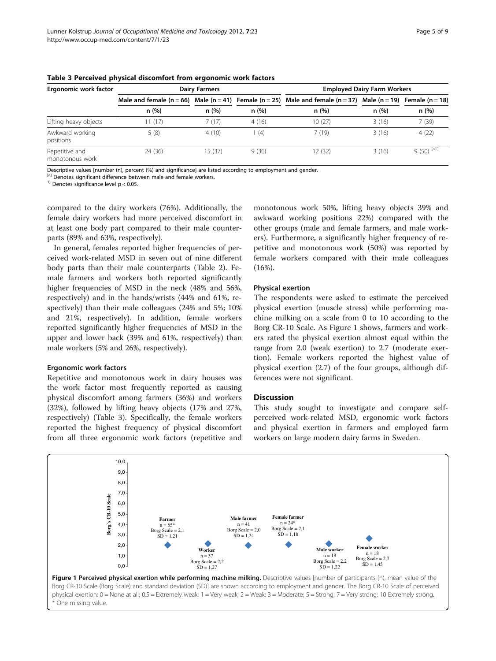| Ergonomic work factor             |         | <b>Dairy Farmers</b> |       | <b>Employed Dairy Farm Workers</b>                                                                                                |       |                         |  |
|-----------------------------------|---------|----------------------|-------|-----------------------------------------------------------------------------------------------------------------------------------|-------|-------------------------|--|
|                                   | n(%)    | n(%)                 | n (%) | Male and female $(n = 66)$ Male $(n = 41)$ Female $(n = 25)$ Male and female $(n = 37)$ Male $(n = 19)$ Female $(n = 18)$<br>n(%) | n(%)  | n(%)                    |  |
|                                   |         |                      |       |                                                                                                                                   |       |                         |  |
| Lifting heavy objects             | 11(17)  | 7(17)                | 4(16) | 10(27)                                                                                                                            | 3(16) | 7(39)                   |  |
| Awkward working<br>positions      | 5(8)    | 4(10)                | (4)   | 7(19)                                                                                                                             | 3(16) | 4(22)                   |  |
| Repetitive and<br>monotonous work | 24 (36) | 15(37)               | 9(36) | 12 (32)                                                                                                                           | 3(16) | $9(50)$ <sup>[a1]</sup> |  |

<span id="page-4-0"></span>Table 3 Perceived physical discomfort from ergonomic work factors

Descriptive values [number (n), percent (%) and significance] are listed according to employment and gender.

<sup>[a]</sup> Denotes significant difference between male and female workers.<sup>1)</sup> Denotes significance level  $p < 0.05$ .

compared to the dairy workers (76%). Additionally, the female dairy workers had more perceived discomfort in at least one body part compared to their male counterparts (89% and 63%, respectively).

In general, females reported higher frequencies of perceived work-related MSD in seven out of nine different body parts than their male counterparts (Table [2\)](#page-3-0). Female farmers and workers both reported significantly higher frequencies of MSD in the neck (48% and 56%, respectively) and in the hands/wrists (44% and 61%, respectively) than their male colleagues (24% and 5%; 10% and 21%, respectively). In addition, female workers reported significantly higher frequencies of MSD in the upper and lower back (39% and 61%, respectively) than male workers (5% and 26%, respectively).

#### Ergonomic work factors

Repetitive and monotonous work in dairy houses was the work factor most frequently reported as causing physical discomfort among farmers (36%) and workers (32%), followed by lifting heavy objects (17% and 27%, respectively) (Table 3). Specifically, the female workers reported the highest frequency of physical discomfort from all three ergonomic work factors (repetitive and monotonous work 50%, lifting heavy objects 39% and awkward working positions 22%) compared with the other groups (male and female farmers, and male workers). Furthermore, a significantly higher frequency of repetitive and monotonous work (50%) was reported by female workers compared with their male colleagues (16%).

### Physical exertion

The respondents were asked to estimate the perceived physical exertion (muscle stress) while performing machine milking on a scale from 0 to 10 according to the Borg CR-10 Scale. As Figure 1 shows, farmers and workers rated the physical exertion almost equal within the range from 2.0 (weak exertion) to 2.7 (moderate exertion). Female workers reported the highest value of physical exertion (2.7) of the four groups, although differences were not significant.

# **Discussion**

This study sought to investigate and compare selfperceived work-related MSD, ergonomic work factors and physical exertion in farmers and employed farm workers on large modern dairy farms in Sweden.

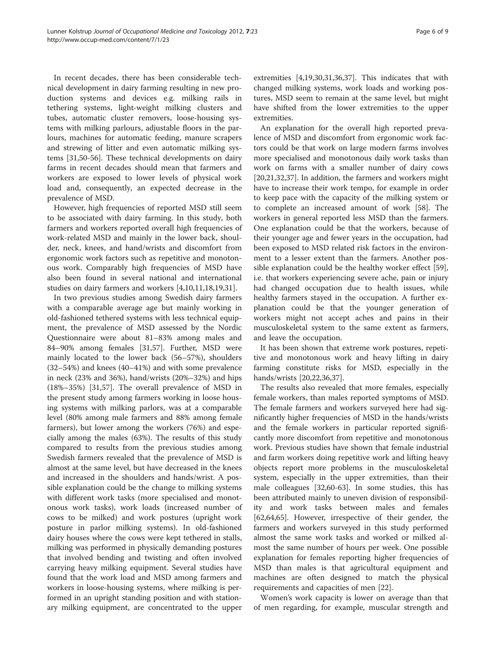In recent decades, there has been considerable technical development in dairy farming resulting in new production systems and devices e.g. milking rails in tethering systems, light-weight milking clusters and tubes, automatic cluster removers, loose-housing systems with milking parlours, adjustable floors in the parlours, machines for automatic feeding, manure scrapers and strewing of litter and even automatic milking systems [\[31,50](#page-7-0)[-56](#page-8-0)]. These technical developments on dairy farms in recent decades should mean that farmers and workers are exposed to lower levels of physical work load and, consequently, an expected decrease in the prevalence of MSD.

However, high frequencies of reported MSD still seem to be associated with dairy farming. In this study, both farmers and workers reported overall high frequencies of work-related MSD and mainly in the lower back, shoulder, neck, knees, and hand/wrists and discomfort from ergonomic work factors such as repetitive and monotonous work. Comparably high frequencies of MSD have also been found in several national and international studies on dairy farmers and workers [[4,10,11,18,19,31\]](#page-7-0).

In two previous studies among Swedish dairy farmers with a comparable average age but mainly working in old-fashioned tethered systems with less technical equipment, the prevalence of MSD assessed by the Nordic Questionnaire were about 81–83% among males and 84–90% among females [[31,](#page-7-0)[57\]](#page-8-0). Further, MSD were mainly located to the lower back (56–57%), shoulders (32–54%) and knees (40–41%) and with some prevalence in neck (23% and 36%), hand/wrists (20%–32%) and hips (18%–35%) [\[31](#page-7-0)[,57](#page-8-0)]. The overall prevalence of MSD in the present study among farmers working in loose housing systems with milking parlors, was at a comparable level (80% among male farmers and 88% among female farmers), but lower among the workers (76%) and especially among the males (63%). The results of this study compared to results from the previous studies among Swedish farmers revealed that the prevalence of MSD is almost at the same level, but have decreased in the knees and increased in the shoulders and hands/wrist. A possible explanation could be the change to milking systems with different work tasks (more specialised and monotonous work tasks), work loads (increased number of cows to be milked) and work postures (upright work posture in parlor milking systems). In old-fashioned dairy houses where the cows were kept tethered in stalls, milking was performed in physically demanding postures that involved bending and twisting and often involved carrying heavy milking equipment. Several studies have found that the work load and MSD among farmers and workers in loose-housing systems, where milking is performed in an upright standing position and with stationary milking equipment, are concentrated to the upper extremities [[4](#page-7-0),[19](#page-7-0),[30,31,36,37](#page-7-0)]. This indicates that with changed milking systems, work loads and working postures, MSD seem to remain at the same level, but might have shifted from the lower extremities to the upper extremities.

An explanation for the overall high reported prevalence of MSD and discomfort from ergonomic work factors could be that work on large modern farms involves more specialised and monotonous daily work tasks than work on farms with a smaller number of dairy cows [[20,21,32,37\]](#page-7-0). In addition, the farmers and workers might have to increase their work tempo, for example in order to keep pace with the capacity of the milking system or to complete an increased amount of work [[58](#page-8-0)]. The workers in general reported less MSD than the farmers. One explanation could be that the workers, because of their younger age and fewer years in the occupation, had been exposed to MSD related risk factors in the environment to a lesser extent than the farmers. Another possible explanation could be the healthy worker effect [\[59](#page-8-0)], i.e. that workers experiencing severe ache, pain or injury had changed occupation due to health issues, while healthy farmers stayed in the occupation. A further explanation could be that the younger generation of workers might not accept aches and pains in their musculoskeletal system to the same extent as farmers, and leave the occupation.

It has been shown that extreme work postures, repetitive and monotonous work and heavy lifting in dairy farming constitute risks for MSD, especially in the hands/wrists [\[20,22,36,37](#page-7-0)].

The results also revealed that more females, especially female workers, than males reported symptoms of MSD. The female farmers and workers surveyed here had significantly higher frequencies of MSD in the hands/wrists and the female workers in particular reported significantly more discomfort from repetitive and monotonous work. Previous studies have shown that female industrial and farm workers doing repetitive work and lifting heavy objects report more problems in the musculoskeletal system, especially in the upper extremities, than their male colleagues [[32](#page-7-0)[,60](#page-8-0)-[63\]](#page-8-0). In some studies, this has been attributed mainly to uneven division of responsibility and work tasks between males and females [[62,64,65\]](#page-8-0). However, irrespective of their gender, the farmers and workers surveyed in this study performed almost the same work tasks and worked or milked almost the same number of hours per week. One possible explanation for females reporting higher frequencies of MSD than males is that agricultural equipment and machines are often designed to match the physical requirements and capacities of men [\[22\]](#page-7-0).

Women's work capacity is lower on average than that of men regarding, for example, muscular strength and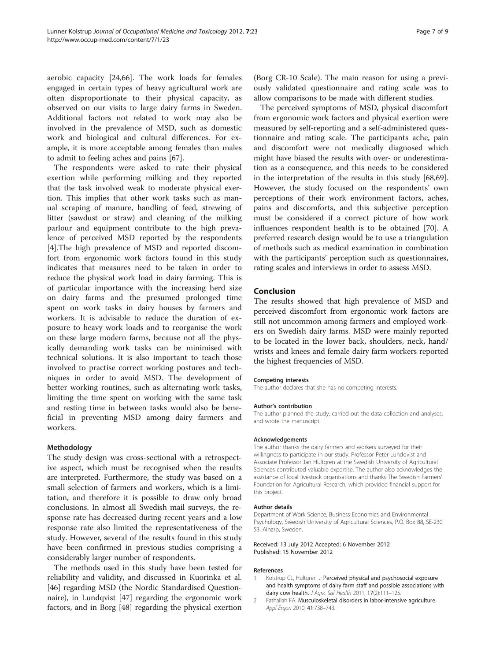<span id="page-6-0"></span>aerobic capacity [\[24](#page-7-0)[,66\]](#page-8-0). The work loads for females engaged in certain types of heavy agricultural work are often disproportionate to their physical capacity, as observed on our visits to large dairy farms in Sweden. Additional factors not related to work may also be involved in the prevalence of MSD, such as domestic work and biological and cultural differences. For example, it is more acceptable among females than males to admit to feeling aches and pains [\[67\]](#page-8-0).

The respondents were asked to rate their physical exertion while performing milking and they reported that the task involved weak to moderate physical exertion. This implies that other work tasks such as manual scraping of manure, handling of feed, strewing of litter (sawdust or straw) and cleaning of the milking parlour and equipment contribute to the high prevalence of perceived MSD reported by the respondents [[4\]](#page-7-0).The high prevalence of MSD and reported discomfort from ergonomic work factors found in this study indicates that measures need to be taken in order to reduce the physical work load in dairy farming. This is of particular importance with the increasing herd size on dairy farms and the presumed prolonged time spent on work tasks in dairy houses by farmers and workers. It is advisable to reduce the duration of exposure to heavy work loads and to reorganise the work on these large modern farms, because not all the physically demanding work tasks can be minimised with technical solutions. It is also important to teach those involved to practise correct working postures and techniques in order to avoid MSD. The development of better working routines, such as alternating work tasks, limiting the time spent on working with the same task and resting time in between tasks would also be beneficial in preventing MSD among dairy farmers and workers.

## Methodology

The study design was cross-sectional with a retrospective aspect, which must be recognised when the results are interpreted. Furthermore, the study was based on a small selection of farmers and workers, which is a limitation, and therefore it is possible to draw only broad conclusions. In almost all Swedish mail surveys, the response rate has decreased during recent years and a low response rate also limited the representativeness of the study. However, several of the results found in this study have been confirmed in previous studies comprising a considerably larger number of respondents.

The methods used in this study have been tested for reliability and validity, and discussed in Kuorinka et al. [[46\]](#page-7-0) regarding MSD (the Nordic Standardised Questionnaire), in Lundqvist [\[47\]](#page-7-0) regarding the ergonomic work factors, and in Borg [[48\]](#page-7-0) regarding the physical exertion (Borg CR-10 Scale). The main reason for using a previously validated questionnaire and rating scale was to allow comparisons to be made with different studies.

The perceived symptoms of MSD, physical discomfort from ergonomic work factors and physical exertion were measured by self-reporting and a self-administered questionnaire and rating scale. The participants ache, pain and discomfort were not medically diagnosed which might have biased the results with over- or underestimation as a consequence, and this needs to be considered in the interpretation of the results in this study [\[68,69](#page-8-0)]. However, the study focused on the respondents' own perceptions of their work environment factors, aches, pains and discomforts, and this subjective perception must be considered if a correct picture of how work influences respondent health is to be obtained [[70\]](#page-8-0). A preferred research design would be to use a triangulation of methods such as medical examination in combination with the participants' perception such as questionnaires, rating scales and interviews in order to assess MSD.

# Conclusion

The results showed that high prevalence of MSD and perceived discomfort from ergonomic work factors are still not uncommon among farmers and employed workers on Swedish dairy farms. MSD were mainly reported to be located in the lower back, shoulders, neck, hand/ wrists and knees and female dairy farm workers reported the highest frequencies of MSD.

#### Competing interests

The author declares that she has no competing interests.

#### Author's contribution

The author planned the study, carried out the data collection and analyses, and wrote the manuscript.

#### Acknowledgements

The author thanks the dairy farmers and workers surveyed for their willingness to participate in our study. Professor Peter Lundqvist and Associate Professor Jan Hultgren at the Swedish University of Agricultural Sciences contributed valuable expertise. The author also acknowledges the assistance of local livestock organisations and thanks The Swedish Farmers' Foundation for Agricultural Research, which provided financial support for this project.

#### Author details

Department of Work Science, Business Economics and Environmental Psychology, Swedish University of Agricultural Sciences, P.O. Box 88, SE-230 53, Alnarp, Sweden.

Received: 13 July 2012 Accepted: 6 November 2012 Published: 15 November 2012

#### References

- 1. Kolstrup CL, Hultgren J: Perceived physical and psychosocial exposure and health symptoms of dairy farm staff and possible associations with dairy cow health. J Agric Saf Health 2011, 17(2):111-125.
- 2. Fathallah FA: Musculoskeletal disorders in labor-intensive agriculture. Appl Ergon 2010, 41:738–743.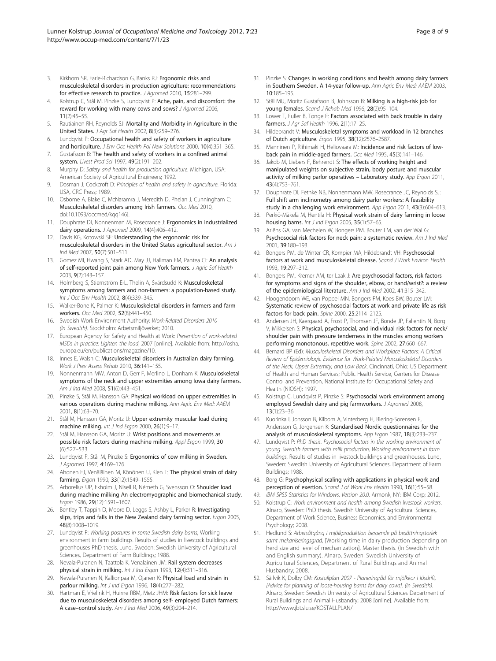- <span id="page-7-0"></span>3. Kirkhorn SR, Earle-Richardson G, Banks RJ: Ergonomic risks and musculoskeletal disorders in production agriculture: recommendations for effective research to practice. J Agromed 2010, 15:281–299.
- Kolstrup C, Stål M, Pinzke S, Lundqvist P: Ache, pain, and discomfort: the reward for working with many cows and sows? J Agromed 2006, 11(2):45–55.
- 5. Rautiainen RH, Reynolds SJ: Mortality and Morbidity in Agriculture in the United States. J Agr Saf Health 2002, 8(3):259–276.
- 6. Lundqvist P: Occupational health and safety of workers in agriculture and horticulture. J Env Occ Health Pol New Solutions 2000, 10(4):351–365.
- Gustafsson B: The health and safety of workers in a confined animal system. Livest Prod Sci 1997, 49(2):191–202.
- 8. Murphy D: Safety and health for production agriculture. Michigan, USA: American Society of Agricultural Engineers; 1992.
- 9. Dosman J, Cockcroft D: Principles of health and safety in agriculture. Florida: USA, CRC Press; 1989.
- 10. Osborne A, Blake C, McNaramra J, Meredith D, Phelan J, Cunningham C: Musculoskeletal disorders among Irish farmers. Occ Med 2010, doi[:10.1093/occmed/kqq146\]](http://dx.doi.org/10.1093/occmed/kqq146).
- 11. Douphrate DI, Nonnenman M, Rosecrance J: Ergonomics in industrialized dairy operations. J Agromed 2009, 14(4):406–412.
- 12. Davis KG, Kotowski SE: Understanding the ergonomic risk for musculoskeletal disorders in the United States agricultural sector. Am J Ind Med 2007, 50(7):501–511.
- 13. Gomez MI, Hwang S, Stark AD, May JJ, Hallman EM, Pantea CI: An analysis of self-reported joint pain among New York farmers. J Agric Saf Health 2003, 9(2):143–157.
- 14. Holmberg S, Stiernström E-L, Thelin A, Svärdsudd K: Musculoskeletal symptoms among farmers and non-farmers: a population-based study. Int J Occ Env Health 2002, 8(4):339–345.
- 15. Walker-Bone K, Palmer K: Musculoskeletal disorders in farmers and farm workers. Occ Med 2002, 52(8):441–450.
- 16. Swedish Work Environment Authority: Work-Related Disorders 2010 (In Swedish). Stockholm: Arbetsmiljöverket; 2010.
- 17. European Agency for Safety and Health at Work: Prevention of work-related MSDs in practice: Lighten the load; 2007 [online]. Available from: [http://osha.](http://osha.europa.eu/en/publications/magazine/10) [europa.eu/en/publications/magazine/10.](http://osha.europa.eu/en/publications/magazine/10)
- 18. Innes E, Walsh C: Musculoskeletal disorders in Australian dairy farming. Work J Prev Assess Rehab 2010, 36:141-155.
- 19. Nonnenmann MW, Anton D, Gerr F, Merlino L, Donham K: Musculoskeletal symptoms of the neck and upper extremities among Iowa dairy farmers. Am J Ind Med 2008, 51(6):443–451.
- 20. Pinzke S, Stål M, Hansson GA: Physical workload on upper extremities in various operations during machine milking. Ann Agric Env Med: AAEM 2001, 8(1):63–70.
- 21. Stål M, Hansson GA, Moritz U: Upper extremity muscular load during machine milking. Int J Ind Ergon 2000, 26(1):9-17
- 22. Stål M, Hansson GA, Moritz U: Wrist positions and movements as possible risk factors during machine milking. Appl Ergon 1999, 30 (6):527–533.
- 23. Lundqvist P, Stål M, Pinzke S: Ergonomics of cow milking in Sweden. J Agromed 1997, 4:169–176.
- 24. Ahonen EJ, Venäläinen M, Könönen U, Klen T: The physical strain of dairy farming. Ergon 1990, 33(12):1549–1555.
- 25. Arborelius UP, Ekholm J, Nisell R, Németh G, Svensson O: Shoulder load during machine milking An electromyographic and biomechanical study. Ergon 1986, 29(12):1591–1607.
- 26. Bentley T, Tappin D, Moore D, Leggs S, Ashby L, Parker R: Investigating slips, trips and falls in the New Zealand dairy farming sector. Ergon 2005, 48(8):1008–1019.
- 27. Lundqvist P: Working postures in some Swedish dairy barns, Working environment in farm buildings. Results of studies in livestock buildings and greenhouses PhD thesis. Lund, Sweden: Swedish University of Agricultural Sciences, Department of Farm Buildings; 1988.
- 28. Nevala-Puranen N, Taattola K, Venalainen JM: Rail system decreases physical strain in milking. Int J Ind Ergon 1993, 12(4):311–316.
- 29. Nevala-Puranen N, Kallionpaa M, Ojanen K: Physical load and strain in parlour milking. Int J Ind Ergon 1996, 18(4):277–282.
- 30. Hartman E, Vrielink H, Huirne RBM, Metz JHM: Risk factors for sick leave due to musculoskeletal disorders among self- employed Dutch farmers: A case–control study. Am J Ind Med 2006, 49(3):204–214.
- 31. Pinzke S: Changes in working conditions and health among dairy farmers in Southern Sweden. A 14-year follow-up. Ann Agric Env Med: AAEM 2003, 10:185–195.
- 32. Stål MU, Moritz Gustafsson B, Johnsson B: Milking is a high-risk job for young females. Scand J Rehab Med 1996, 28(2):95–104.
- 33. Lower T, Fuller B, Tonge F: Factors associated with back trouble in dairy farmers. J Agr Saf Health 1996, 2(1):17–25.
- 34. Hildebrandt V: Musculoskeletal symptoms and workload in 12 branches of Dutch agriculture. Ergon 1995, 38(12):2576–2587.
- 35. Manninen P, Riihimaki H, Heliovaara M: Incidence and risk factors of lowback pain in middle-aged farmers. Occ Med 1995, 45(3):141–146.
- 36. Jakob M, Liebers F, Behrendt S: The effects of working height and manipulated weights on subjective strain, body posture and muscular activity of milking parlor operatives – Laboratory study. App Ergon 2011, 43(4):753–761.
- 37. Douphrate DI, Fethke NB, Nonnenmann MW, Rosecrance JC, Reynolds SJ: Full shift arm inclinometry among dairy parlor workers: A feasibility study in a challenging work environment. App Ergon 2011, 43(3):604–613.
- 38. Perkiö-Mäkelä M, Hentila H: Physical work strain of dairy farming in loose housing barns. Int J Ind Ergon 2005, 35(1):57-65.
- 39. Ariëns GA, van Mechelen W, Bongers PM, Bouter LM, van der Wal G: Psychosocial risk factors for neck pain: a systematic review. Am J Ind Med 2001, 39:180–193.
- 40. Bongers PM, de Winter CR, Kompier MA, Hildebrandt VH: Psychosocial factors at work and musculoskeletal disease. Scand J Work Environ Health 1993, 19:297–312.
- 41. Bongers PM, Kremer AM, ter Laak J: Are psychosocial factors, risk factors for symptoms and signs of the shoulder, elbow, or hand/wrist?: a review of the epidemiological literature. Am J Ind Med 2002, 41:315–342.
- 42. Hoogendoorn WE, van Poppel MN, Bongers PM, Koes BW, Bouter LM: Systematic review of psychosocial factors at work and private life as risk factors for back pain. Spine 2000, 25:2114–2125.
- 43. Andersen JH, Kaergaard A, Frost P, Thomsen JF, Bonde JP, Fallentin N, Borg V, Mikkelsen S: Physical, psychosocial, and individual risk factors for neck/ shoulder pain with pressure tenderness in the muscles among workers performing monotonous, repetitive work. Spine 2002, 27:660-667.
- 44. Bernard BP (Ed): Musculoskeletal Disorders and Workplace Factors: A Critical Review of Epidemiologic Evidence for Work-Related Musculoskeletal Disorders of the Neck, Upper Extremity, and Low Back. Cincinnati, Ohio: US Department of Health and Human Services; Public Health Service, Centers for Disease Control and Prevention, National Institute for Occupational Safety and Health (NIOSH); 1997.
- 45. Kolstrup C, Lundqvist P, Pinzke S: Psychosocial work environment among employed Swedish dairy and pig farmworkers. J Agromed 2008, 13(1):23–36.
- 46. Kuorinka I, Jonsson B, Kilbom A, Vinterberg H, Biering-Sorensen F, Andersson G, Jorgensen K: Standardised Nordic questionnaires for the analysis of musculoskeletal symptoms. App Ergon 1987, 18(3):233–237.
- 47. Lundqvist P: PhD thesis. Psychosocial factors in the working environment of young Swedish farmers with milk production, Working environment in farm buildings, Results of studies in livestock buildings and greenhouses. Lund, Sweden: Swedish University of Agricultural Sciences, Department of Farm Buildings; 1988.
- 48. Borg G: Psychophysical scaling with applications in physical work and perception of exertion. Scand J of Work Env Health 1990, 16(1):55-58.
- 49. IBM SPSS Statistics for Windows, Version 20.0. Armonk, NY: IBM Corp; 2012.
- 50. Kolstrup C: Work environment and health among Swedish livestock workers. Alnarp, Sweden: PhD thesis. Swedish University of Agricultural Sciences, Department of Work Science, Business Economics, and Environmental Psychology; 2008.
- 51. Hedlund S: Arbetsåtgång i mjölkproduktion beroende på besättningstorlek samt mekaniseringsgrad, [Working time in dairy production depending on herd size and level of mechanization]. Master thesis. (In Swedish with and English summary). Alnarp, Sweden: Swedish University of Agricultural Sciences, Department of Rural Buildings and Animal Husbandry; 2008.
- 52. Sällvik K, Dolby CM: Kostallplan 2007 Planeringråd för mjölkkor i lösdrift, [Advice for planning of loose-housing barns for dairy cows]. (In Swedish). Alnarp, Sweden: Swedish University of Agricultural Sciences Department of Rural Buildings and Animal Husbandry; 2008 [online]. Available from: [http://www.jbt.slu.se/KOSTALLPLAN/.](http://www.jbt.slu.se/KOSTALLPLAN/)